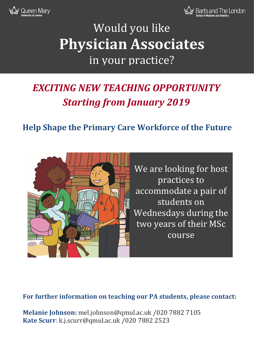



# Would you like **Physician Associates** in your practice?

## *EXCITING NEW TEACHING OPPORTUNITY Starting from January 2019*

### **Help Shape the Primary Care Workforce of the Future**



We are looking for host practices to accommodate a pair of students on Wednesdays during the two years of their MSc course

### **For further information on teaching our PA students, please contact:**

**Melanie Johnson:** mel.johnson@qmul.ac.uk /020 7882 7105 **Kate Scurr**: k.j.scurr@qmul.ac.uk /020 7882 2523